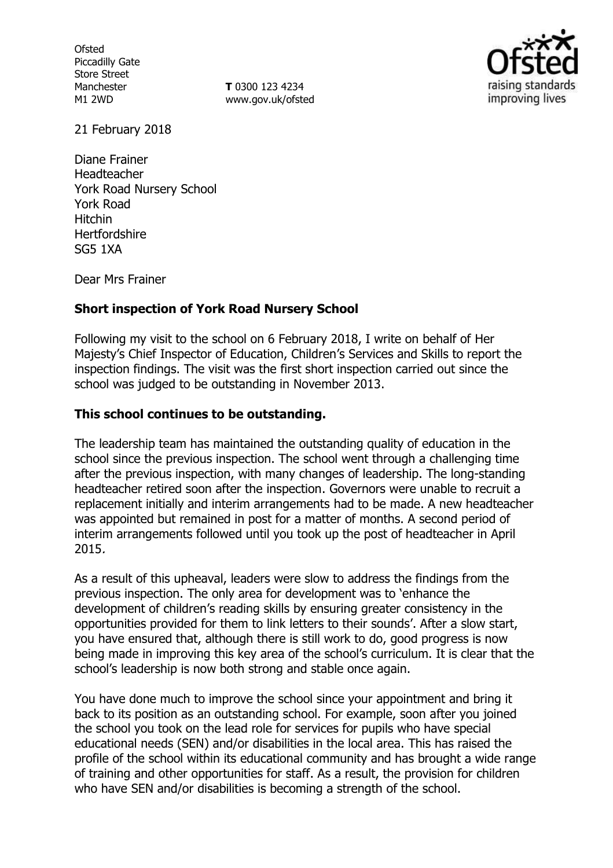**Ofsted** Piccadilly Gate Store Street Manchester M1 2WD

**T** 0300 123 4234 www.gov.uk/ofsted



21 February 2018

Diane Frainer Headteacher York Road Nursery School York Road Hitchin **Hertfordshire** SG5 1XA

Dear Mrs Frainer

### **Short inspection of York Road Nursery School**

Following my visit to the school on 6 February 2018, I write on behalf of Her Majesty's Chief Inspector of Education, Children's Services and Skills to report the inspection findings. The visit was the first short inspection carried out since the school was judged to be outstanding in November 2013.

### **This school continues to be outstanding.**

The leadership team has maintained the outstanding quality of education in the school since the previous inspection. The school went through a challenging time after the previous inspection, with many changes of leadership. The long-standing headteacher retired soon after the inspection. Governors were unable to recruit a replacement initially and interim arrangements had to be made. A new headteacher was appointed but remained in post for a matter of months. A second period of interim arrangements followed until you took up the post of headteacher in April 2015.

As a result of this upheaval, leaders were slow to address the findings from the previous inspection. The only area for development was to 'enhance the development of children's reading skills by ensuring greater consistency in the opportunities provided for them to link letters to their sounds'. After a slow start, you have ensured that, although there is still work to do, good progress is now being made in improving this key area of the school's curriculum. It is clear that the school's leadership is now both strong and stable once again.

You have done much to improve the school since your appointment and bring it back to its position as an outstanding school. For example, soon after you joined the school you took on the lead role for services for pupils who have special educational needs (SEN) and/or disabilities in the local area. This has raised the profile of the school within its educational community and has brought a wide range of training and other opportunities for staff. As a result, the provision for children who have SEN and/or disabilities is becoming a strength of the school.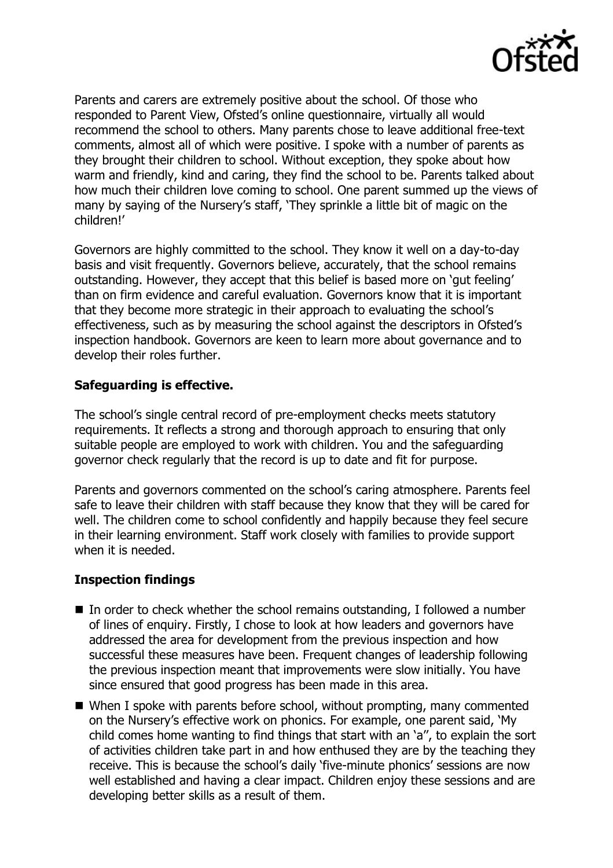

Parents and carers are extremely positive about the school. Of those who responded to Parent View, Ofsted's online questionnaire, virtually all would recommend the school to others. Many parents chose to leave additional free-text comments, almost all of which were positive. I spoke with a number of parents as they brought their children to school. Without exception, they spoke about how warm and friendly, kind and caring, they find the school to be. Parents talked about how much their children love coming to school. One parent summed up the views of many by saying of the Nursery's staff, 'They sprinkle a little bit of magic on the children!'

Governors are highly committed to the school. They know it well on a day-to-day basis and visit frequently. Governors believe, accurately, that the school remains outstanding. However, they accept that this belief is based more on 'gut feeling' than on firm evidence and careful evaluation. Governors know that it is important that they become more strategic in their approach to evaluating the school's effectiveness, such as by measuring the school against the descriptors in Ofsted's inspection handbook. Governors are keen to learn more about governance and to develop their roles further.

### **Safeguarding is effective.**

The school's single central record of pre-employment checks meets statutory requirements. It reflects a strong and thorough approach to ensuring that only suitable people are employed to work with children. You and the safeguarding governor check regularly that the record is up to date and fit for purpose.

Parents and governors commented on the school's caring atmosphere. Parents feel safe to leave their children with staff because they know that they will be cared for well. The children come to school confidently and happily because they feel secure in their learning environment. Staff work closely with families to provide support when it is needed.

### **Inspection findings**

- $\blacksquare$  In order to check whether the school remains outstanding, I followed a number of lines of enquiry. Firstly, I chose to look at how leaders and governors have addressed the area for development from the previous inspection and how successful these measures have been. Frequent changes of leadership following the previous inspection meant that improvements were slow initially. You have since ensured that good progress has been made in this area.
- When I spoke with parents before school, without prompting, many commented on the Nursery's effective work on phonics. For example, one parent said, 'My child comes home wanting to find things that start with an 'a'', to explain the sort of activities children take part in and how enthused they are by the teaching they receive. This is because the school's daily 'five-minute phonics' sessions are now well established and having a clear impact. Children enjoy these sessions and are developing better skills as a result of them.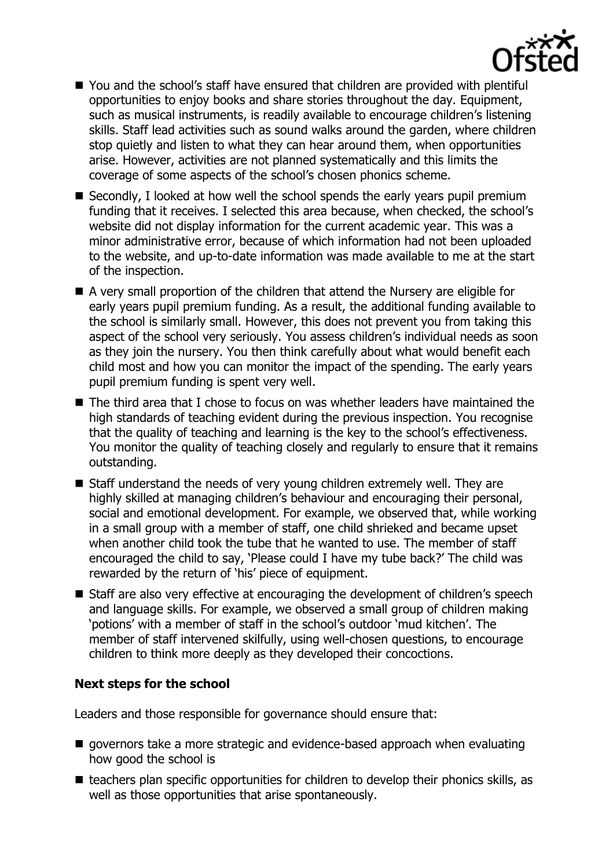

- You and the school's staff have ensured that children are provided with plentiful opportunities to enjoy books and share stories throughout the day. Equipment, such as musical instruments, is readily available to encourage children's listening skills. Staff lead activities such as sound walks around the garden, where children stop quietly and listen to what they can hear around them, when opportunities arise. However, activities are not planned systematically and this limits the coverage of some aspects of the school's chosen phonics scheme.
- Secondly, I looked at how well the school spends the early years pupil premium funding that it receives. I selected this area because, when checked, the school's website did not display information for the current academic year. This was a minor administrative error, because of which information had not been uploaded to the website, and up-to-date information was made available to me at the start of the inspection.
- A very small proportion of the children that attend the Nursery are eligible for early years pupil premium funding. As a result, the additional funding available to the school is similarly small. However, this does not prevent you from taking this aspect of the school very seriously. You assess children's individual needs as soon as they join the nursery. You then think carefully about what would benefit each child most and how you can monitor the impact of the spending. The early years pupil premium funding is spent very well.
- The third area that I chose to focus on was whether leaders have maintained the high standards of teaching evident during the previous inspection. You recognise that the quality of teaching and learning is the key to the school's effectiveness. You monitor the quality of teaching closely and regularly to ensure that it remains outstanding.
- Staff understand the needs of very young children extremely well. They are highly skilled at managing children's behaviour and encouraging their personal, social and emotional development. For example, we observed that, while working in a small group with a member of staff, one child shrieked and became upset when another child took the tube that he wanted to use. The member of staff encouraged the child to say, 'Please could I have my tube back?' The child was rewarded by the return of 'his' piece of equipment.
- Staff are also very effective at encouraging the development of children's speech and language skills. For example, we observed a small group of children making 'potions' with a member of staff in the school's outdoor 'mud kitchen'. The member of staff intervened skilfully, using well-chosen questions, to encourage children to think more deeply as they developed their concoctions.

# **Next steps for the school**

Leaders and those responsible for governance should ensure that:

- **q** governors take a more strategic and evidence-based approach when evaluating how good the school is
- $\blacksquare$  teachers plan specific opportunities for children to develop their phonics skills, as well as those opportunities that arise spontaneously.